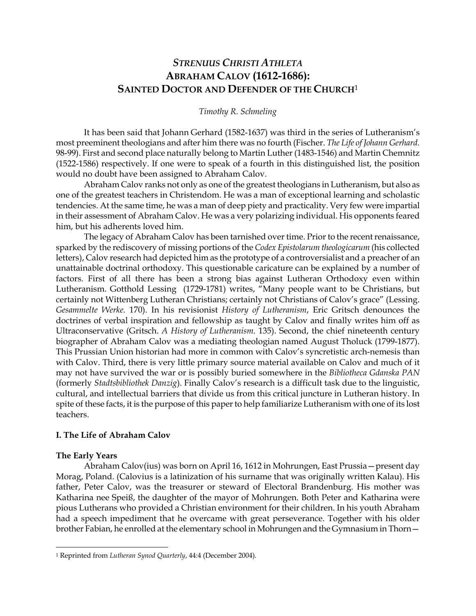# *STRENUUS CHRISTI ATHLETA* **ABRAHAM CALOV (1612-1686): SAINTED DOCTOR AND DEFENDER OF THE CHURCH**<sup>1</sup>

#### *Timothy R. Schmeling*

It has been said that Johann Gerhard (1582-1637) was third in the series of Lutheranism's most preeminent theologians and after him there was no fourth (Fischer. *The Life of Johann Gerhard.* 98-99). First and second place naturally belong to Martin Luther (1483-1546) and Martin Chemnitz (1522-1586) respectively. If one were to speak of a fourth in this distinguished list, the position would no doubt have been assigned to Abraham Calov.

Abraham Calov ranks not only as one of the greatest theologians in Lutheranism, but also as one of the greatest teachers in Christendom. He was a man of exceptional learning and scholastic tendencies. At the same time, he was a man of deep piety and practicality. Very few were impartial in their assessment of Abraham Calov. He was a very polarizing individual. His opponents feared him, but his adherents loved him.

The legacy of Abraham Calov has been tarnished over time. Prior to the recent renaissance, sparked by the rediscovery of missing portions of the *Codex Epistolarum theologicarum* (his collected letters), Calov research had depicted him as the prototype of a controversialist and a preacher of an unattainable doctrinal orthodoxy. This questionable caricature can be explained by a number of factors. First of all there has been a strong bias against Lutheran Orthodoxy even within Lutheranism. Gotthold Lessing (1729-1781) writes, "Many people want to be Christians, but certainly not Wittenberg Lutheran Christians; certainly not Christians of Calov's grace" (Lessing. *Gesammelte Werke.* 170). In his revisionist *History of Lutheranism*, Eric Gritsch denounces the doctrines of verbal inspiration and fellowship as taught by Calov and finally writes him off as Ultraconservative (Gritsch. *A History of Lutheranism.* 135). Second, the chief nineteenth century biographer of Abraham Calov was a mediating theologian named August Tholuck (1799-1877). This Prussian Union historian had more in common with Calov's syncretistic arch-nemesis than with Calov. Third, there is very little primary source material available on Calov and much of it may not have survived the war or is possibly buried somewhere in the *Bibliotheca Gdanska PAN* (formerly *Stadtsbibliothek Danzig*). Finally Calov's research is a difficult task due to the linguistic, cultural, and intellectual barriers that divide us from this critical juncture in Lutheran history. In spite of these facts, it is the purpose of this paper to help familiarize Lutheranism with one of its lost teachers.

#### **I. The Life of Abraham Calov**

#### **The Early Years**

 $\overline{a}$ 

Abraham Calov(ius) was born on April 16, 1612 in Mohrungen, East Prussia—present day Morag, Poland. (Calovius is a latinization of his surname that was originally written Kalau). His father, Peter Calov, was the treasurer or steward of Electoral Brandenburg. His mother was Katharina nee Speiß, the daughter of the mayor of Mohrungen. Both Peter and Katharina were pious Lutherans who provided a Christian environment for their children. In his youth Abraham had a speech impediment that he overcame with great perseverance. Together with his older brother Fabian, he enrolled at the elementary school in Mohrungen and the Gymnasium in Thorn—

<sup>1</sup> Reprinted from *Lutheran Synod Quarterly*, 44:4 (December 2004).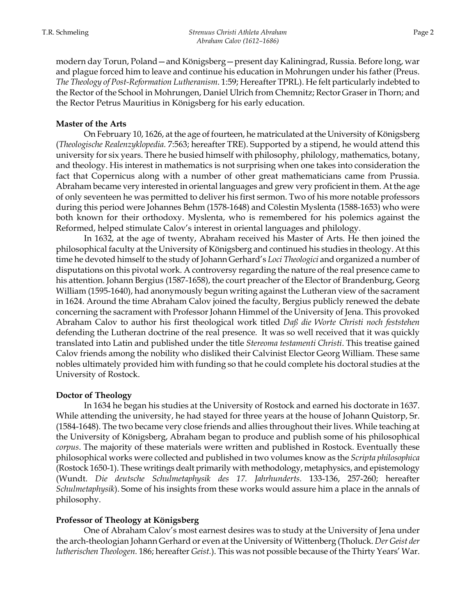modern day Torun, Poland—and Königsberg—present day Kaliningrad, Russia. Before long, war and plague forced him to leave and continue his education in Mohrungen under his father (Preus. *The Theology of Post-Reformation Lutheranism*. 1:59; Hereafter TPRL). He felt particularly indebted to the Rector of the School in Mohrungen, Daniel Ulrich from Chemnitz; Rector Graser in Thorn; and the Rector Petrus Mauritius in Königsberg for his early education.

### **Master of the Arts**

On February 10, 1626, at the age of fourteen, he matriculated at the University of Königsberg (*Theologische Realenzyklopedia.* 7:563; hereafter TRE). Supported by a stipend, he would attend this university for six years. There he busied himself with philosophy, philology, mathematics, botany, and theology. His interest in mathematics is not surprising when one takes into consideration the fact that Copernicus along with a number of other great mathematicians came from Prussia. Abraham became very interested in oriental languages and grew very proficient in them. At the age of only seventeen he was permitted to deliver his first sermon. Two of his more notable professors during this period were Johannes Behm (1578-1648) and Cölestin Myslenta (1588-1653) who were both known for their orthodoxy. Myslenta, who is remembered for his polemics against the Reformed, helped stimulate Calov's interest in oriental languages and philology.

In 1632, at the age of twenty, Abraham received his Master of Arts. He then joined the philosophical faculty at the University of Königsberg and continued his studies in theology. At this time he devoted himself to the study of Johann Gerhard's *Loci Theologici* and organized a number of disputations on this pivotal work. A controversy regarding the nature of the real presence came to his attention. Johann Bergius (1587-1658), the court preacher of the Elector of Brandenburg, Georg William (1595-1640), had anonymously begun writing against the Lutheran view of the sacrament in 1624. Around the time Abraham Calov joined the faculty, Bergius publicly renewed the debate concerning the sacrament with Professor Johann Himmel of the University of Jena. This provoked Abraham Calov to author his first theological work titled *Daß die Worte Christi noch feststehen* defending the Lutheran doctrine of the real presence. It was so well received that it was quickly translated into Latin and published under the title *Stereoma testamenti Christi*. This treatise gained Calov friends among the nobility who disliked their Calvinist Elector Georg William. These same nobles ultimately provided him with funding so that he could complete his doctoral studies at the University of Rostock.

#### **Doctor of Theology**

In 1634 he began his studies at the University of Rostock and earned his doctorate in 1637. While attending the university, he had stayed for three years at the house of Johann Quistorp, Sr. (1584-1648). The two became very close friends and allies throughout their lives. While teaching at the University of Königsberg, Abraham began to produce and publish some of his philosophical *corpus*. The majority of these materials were written and published in Rostock. Eventually these philosophical works were collected and published in two volumes know as the *Scripta philosophica* (Rostock 1650-1). These writings dealt primarily with methodology, metaphysics, and epistemology (Wundt. *Die deutsche Schulmetaphysik des 17. Jahrhunderts.* 133-136, 257-260; hereafter *Schulmetaphysik*). Some of his insights from these works would assure him a place in the annals of philosophy.

#### **Professor of Theology at Königsberg**

One of Abraham Calov's most earnest desires was to study at the University of Jena under the arch-theologian Johann Gerhard or even at the University of Wittenberg (Tholuck. *Der Geist der lutherischen Theologen.* 186; hereafter *Geist.*). This was not possible because of the Thirty Years' War.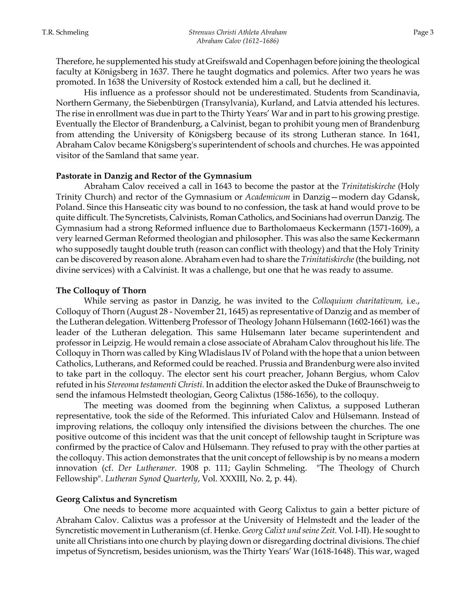Therefore, he supplemented his study at Greifswald and Copenhagen before joining the theological faculty at Königsberg in 1637. There he taught dogmatics and polemics. After two years he was promoted. In 1638 the University of Rostock extended him a call, but he declined it.

His influence as a professor should not be underestimated. Students from Scandinavia, Northern Germany, the Siebenbürgen (Transylvania), Kurland, and Latvia attended his lectures. The rise in enrollment was due in part to the Thirty Years' War and in part to his growing prestige. Eventually the Elector of Brandenburg, a Calvinist, began to prohibit young men of Brandenburg from attending the University of Königsberg because of its strong Lutheran stance. In 1641, Abraham Calov became Königsberg's superintendent of schools and churches. He was appointed visitor of the Samland that same year.

#### **Pastorate in Danzig and Rector of the Gymnasium**

Abraham Calov received a call in 1643 to become the pastor at the *Trinitatiskirche* (Holy Trinity Church) and rector of the Gymnasium or *Academicum* in Danzig—modern day Gdansk, Poland. Since this Hanseatic city was bound to no confession, the task at hand would prove to be quite difficult. The Syncretists, Calvinists, Roman Catholics, and Socinians had overrun Danzig. The Gymnasium had a strong Reformed influence due to Bartholomaeus Keckermann (1571-1609), a very learned German Reformed theologian and philosopher. This was also the same Keckermann who supposedly taught double truth (reason can conflict with theology) and that the Holy Trinity can be discovered by reason alone. Abraham even had to share the *Trinitatiskirche* (the building, not divine services) with a Calvinist. It was a challenge, but one that he was ready to assume.

#### **The Colloquy of Thorn**

While serving as pastor in Danzig, he was invited to the *Colloquium charitativum,* i.e., Colloquy of Thorn (August 28 - November 21, 1645) as representative of Danzig and as member of the Lutheran delegation. Wittenberg Professor of Theology Johann Hülsemann (1602-1661) was the leader of the Lutheran delegation. This same Hülsemann later became superintendent and professor in Leipzig. He would remain a close associate of Abraham Calov throughout his life. The Colloquy in Thorn was called by King Wladislaus IV of Poland with the hope that a union between Catholics, Lutherans, and Reformed could be reached. Prussia and Brandenburg were also invited to take part in the colloquy. The elector sent his court preacher, Johann Bergius, whom Calov refuted in his *Stereoma testamenti Christi*. In addition the elector asked the Duke of Braunschweig to send the infamous Helmstedt theologian, Georg Calixtus (1586-1656), to the colloquy.

The meeting was doomed from the beginning when Calixtus, a supposed Lutheran representative, took the side of the Reformed. This infuriated Calov and Hülsemann. Instead of improving relations, the colloquy only intensified the divisions between the churches. The one positive outcome of this incident was that the unit concept of fellowship taught in Scripture was confirmed by the practice of Calov and Hülsemann. They refused to pray with the other parties at the colloquy. This action demonstrates that the unit concept of fellowship is by no means a modern innovation (cf. *Der Lutheraner*. 1908 p. 111; Gaylin Schmeling. "The Theology of Church Fellowship". *Lutheran Synod Quarterly*, Vol. XXXIII, No. 2, p. 44).

#### **Georg Calixtus and Syncretism**

 One needs to become more acquainted with Georg Calixtus to gain a better picture of Abraham Calov. Calixtus was a professor at the University of Helmstedt and the leader of the Syncretistic movement in Lutheranism (cf. Henke. *Georg Calixt und seine Zeit.* Vol. I-II). He sought to unite all Christians into one church by playing down or disregarding doctrinal divisions. The chief impetus of Syncretism, besides unionism, was the Thirty Years' War (1618-1648). This war, waged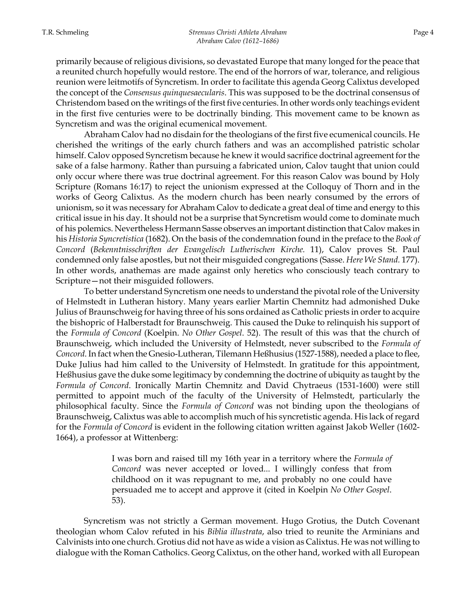primarily because of religious divisions, so devastated Europe that many longed for the peace that a reunited church hopefully would restore. The end of the horrors of war, tolerance, and religious reunion were leitmotifs of Syncretism. In order to facilitate this agenda Georg Calixtus developed the concept of the *Consensus quinquesaecularis*. This was supposed to be the doctrinal consensus of Christendom based on the writings of the first five centuries. In other words only teachings evident in the first five centuries were to be doctrinally binding. This movement came to be known as Syncretism and was the original ecumenical movement.

Abraham Calov had no disdain for the theologians of the first five ecumenical councils. He cherished the writings of the early church fathers and was an accomplished patristic scholar himself. Calov opposed Syncretism because he knew it would sacrifice doctrinal agreement for the sake of a false harmony. Rather than pursuing a fabricated union, Calov taught that union could only occur where there was true doctrinal agreement. For this reason Calov was bound by Holy Scripture (Romans 16:17) to reject the unionism expressed at the Colloquy of Thorn and in the works of Georg Calixtus. As the modern church has been nearly consumed by the errors of unionism, so it was necessary for Abraham Calov to dedicate a great deal of time and energy to this critical issue in his day. It should not be a surprise that Syncretism would come to dominate much of his polemics. Nevertheless Hermann Sasse observes an important distinction that Calov makes in his *Historia Syncretistica* (1682). On the basis of the condemnation found in the preface to the *Book of Concord* (*Bekenntnisschriften der Evangelisch Lutherischen Kirche.* 11), Calov proves St. Paul condemned only false apostles, but not their misguided congregations (Sasse. *Here We Stand.* 177). In other words, anathemas are made against only heretics who consciously teach contrary to Scripture—not their misguided followers.

To better understand Syncretism one needs to understand the pivotal role of the University of Helmstedt in Lutheran history. Many years earlier Martin Chemnitz had admonished Duke Julius of Braunschweig for having three of his sons ordained as Catholic priests in order to acquire the bishopric of Halberstadt for Braunschweig. This caused the Duke to relinquish his support of the *Formula of Concord* (Koelpin. *No Other Gospel*. 52). The result of this was that the church of Braunschweig, which included the University of Helmstedt, never subscribed to the *Formula of Concord*. In fact when the Gnesio-Lutheran, Tilemann Heßhusius (1527-1588), needed a place to flee, Duke Julius had him called to the University of Helmstedt. In gratitude for this appointment, Heßhusius gave the duke some legitimacy by condemning the doctrine of ubiquity as taught by the *Formula of Concord*. Ironically Martin Chemnitz and David Chytraeus (1531-1600) were still permitted to appoint much of the faculty of the University of Helmstedt, particularly the philosophical faculty. Since the *Formula of Concord* was not binding upon the theologians of Braunschweig, Calixtus was able to accomplish much of his syncretistic agenda. His lack of regard for the *Formula of Concord* is evident in the following citation written against Jakob Weller (1602- 1664), a professor at Wittenberg:

> I was born and raised till my 16th year in a territory where the *Formula of Concord* was never accepted or loved... I willingly confess that from childhood on it was repugnant to me, and probably no one could have persuaded me to accept and approve it (cited in Koelpin *No Other Gospel*. 53).

Syncretism was not strictly a German movement. Hugo Grotius, the Dutch Covenant theologian whom Calov refuted in his *Biblia illustrata*, also tried to reunite the Arminians and Calvinists into one church. Grotius did not have as wide a vision as Calixtus. He was not willing to dialogue with the Roman Catholics. Georg Calixtus, on the other hand, worked with all European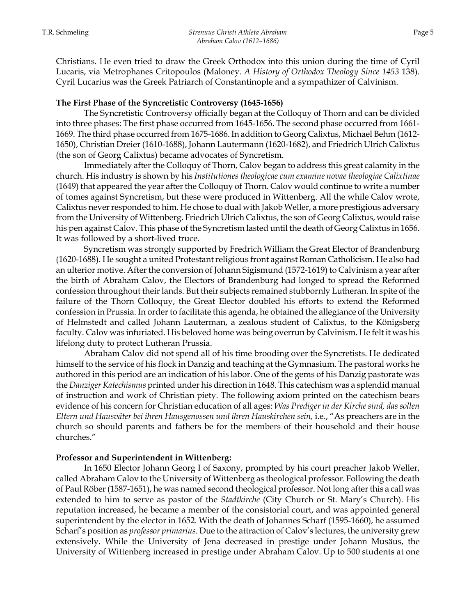# **The First Phase of the Syncretistic Controversy (1645-1656)**

The Syncretistic Controversy officially began at the Colloquy of Thorn and can be divided into three phases: The first phase occurred from 1645-1656. The second phase occurred from 1661- 1669. The third phase occurred from 1675-1686. In addition to Georg Calixtus, Michael Behm (1612- 1650), Christian Dreier (1610-1688), Johann Lautermann (1620-1682), and Friedrich Ulrich Calixtus (the son of Georg Calixtus) became advocates of Syncretism.

Immediately after the Colloquy of Thorn, Calov began to address this great calamity in the church. His industry is shown by his *Institutiones theologicae cum examine novae theologiae Calixtinae*  (1649) that appeared the year after the Colloquy of Thorn. Calov would continue to write a number of tomes against Syncretism, but these were produced in Wittenberg. All the while Calov wrote, Calixtus never responded to him. He chose to dual with Jakob Weller, a more prestigious adversary from the University of Wittenberg. Friedrich Ulrich Calixtus, the son of Georg Calixtus, would raise his pen against Calov. This phase of the Syncretism lasted until the death of Georg Calixtus in 1656. It was followed by a short-lived truce.

Syncretism was strongly supported by Fredrich William the Great Elector of Brandenburg (1620-1688). He sought a united Protestant religious front against Roman Catholicism. He also had an ulterior motive. After the conversion of Johann Sigismund (1572-1619) to Calvinism a year after the birth of Abraham Calov, the Electors of Brandenburg had longed to spread the Reformed confession throughout their lands. But their subjects remained stubbornly Lutheran. In spite of the failure of the Thorn Colloquy, the Great Elector doubled his efforts to extend the Reformed confession in Prussia. In order to facilitate this agenda, he obtained the allegiance of the University of Helmstedt and called Johann Lauterman, a zealous student of Calixtus, to the Königsberg faculty. Calov was infuriated. His beloved home was being overrun by Calvinism. He felt it was his lifelong duty to protect Lutheran Prussia.

Abraham Calov did not spend all of his time brooding over the Syncretists. He dedicated himself to the service of his flock in Danzig and teaching at the Gymnasium. The pastoral works he authored in this period are an indication of his labor. One of the gems of his Danzig pastorate was the *Danziger Katechismus* printed under his direction in 1648. This catechism was a splendid manual of instruction and work of Christian piety. The following axiom printed on the catechism bears evidence of his concern for Christian education of all ages: *Was Prediger in der Kirche sind, das sollen Eltern und Hausväter bei ihren Hausgenossen und ihren Hauskirchen sein,* i.e., "As preachers are in the church so should parents and fathers be for the members of their household and their house churches."

# **Professor and Superintendent in Wittenberg:**

In 1650 Elector Johann Georg I of Saxony, prompted by his court preacher Jakob Weller, called Abraham Calov to the University of Wittenberg as theological professor. Following the death of Paul Röber (1587-1651), he was named second theological professor. Not long after this a call was extended to him to serve as pastor of the *Stadtkirche* (City Church or St. Mary's Church). His reputation increased, he became a member of the consistorial court, and was appointed general superintendent by the elector in 1652. With the death of Johannes Scharf (1595-1660), he assumed Scharf's position as *professor primarius*. Due to the attraction of Calov's lectures, the university grew extensively. While the University of Jena decreased in prestige under Johann Musäus, the University of Wittenberg increased in prestige under Abraham Calov. Up to 500 students at one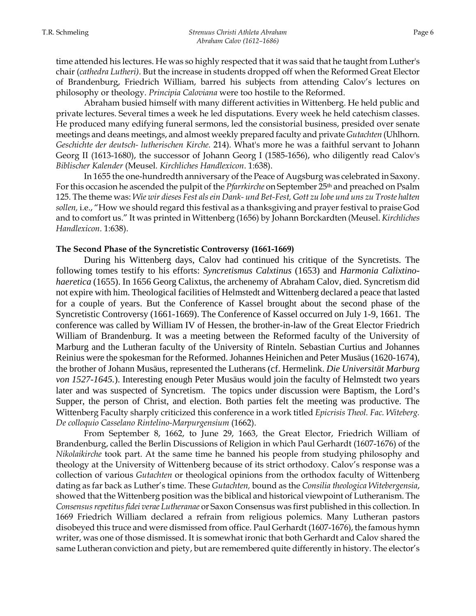time attended his lectures. He was so highly respected that it was said that he taught from Luther's chair (*cathedra Lutheri)*. But the increase in students dropped off when the Reformed Great Elector of Brandenburg, Friedrich William, barred his subjects from attending Calov's lectures on philosophy or theology. *Principia Caloviana* were too hostile to the Reformed.

Abraham busied himself with many different activities in Wittenberg. He held public and private lectures. Several times a week he led disputations. Every week he held catechism classes. He produced many edifying funeral sermons, led the consistorial business, presided over senate meetings and deans meetings, and almost weekly prepared faculty and private *Gutachten* (Uhlhorn. *Geschichte der deutsch- lutherischen Kirche.* 214). What's more he was a faithful servant to Johann Georg II (1613-1680), the successor of Johann Georg I (1585-1656), who diligently read Calov's *Biblischer Kalender* (Meusel. *Kirchliches Handlexicon*. 1:638).

In 1655 the one-hundredth anniversary of the Peace of Augsburg was celebrated in Saxony. For this occasion he ascended the pulpit of the *Pfarrkirche* on September 25th and preached on Psalm 125. The theme was: *Wie wir dieses Fest als ein Dank- und Bet-Fest, Gott zu lobe und uns zu Troste halten sollen,* i.e., "How we should regard this festival as a thanksgiving and prayer festival to praise God and to comfort us." It was printed in Wittenberg (1656) by Johann Borckardten (Meusel. *Kirchliches Handlexicon*. 1:638).

#### **The Second Phase of the Syncretistic Controversy (1661-1669)**

 During his Wittenberg days, Calov had continued his critique of the Syncretists. The following tomes testify to his efforts: *Syncretismus Calxtinus* (1653) and *Harmonia Calixtinohaeretica* (1655). In 1656 Georg Calixtus, the archenemy of Abraham Calov, died. Syncretism did not expire with him. Theological facilities of Helmstedt and Wittenberg declared a peace that lasted for a couple of years. But the Conference of Kassel brought about the second phase of the Syncretistic Controversy (1661-1669). The Conference of Kassel occurred on July 1-9, 1661. The conference was called by William IV of Hessen, the brother-in-law of the Great Elector Friedrich William of Brandenburg. It was a meeting between the Reformed faculty of the University of Marburg and the Lutheran faculty of the University of Rinteln. Sebastian Curtius and Johannes Reinius were the spokesman for the Reformed. Johannes Heinichen and Peter Musäus (1620-1674), the brother of Johann Musäus, represented the Lutherans (cf. Hermelink. *Die Universität Marburg von 1527-1645.*). Interesting enough Peter Musäus would join the faculty of Helmstedt two years later and was suspected of Syncretism. The topics under discussion were Baptism, the Lord's Supper, the person of Christ, and election. Both parties felt the meeting was productive. The Wittenberg Faculty sharply criticized this conference in a work titled *Epicrisis Theol. Fac. Witeberg. De colloquio Casselano Rintelino-Marpurgensium* (1662).

From September 8, 1662, to June 29, 1663, the Great Elector, Friedrich William of Brandenburg, called the Berlin Discussions of Religion in which Paul Gerhardt (1607-1676) of the *Nikolaikirche* took part. At the same time he banned his people from studying philosophy and theology at the University of Wittenberg because of its strict orthodoxy. Calov's response was a collection of various *Gutachten* or theological opinions from the orthodox faculty of Wittenberg dating as far back as Luther's time. These *Gutachten,* bound as the *Consilia theologica Witebergensia*, showed that the Wittenberg position was the biblical and historical viewpoint of Lutheranism. The *Consensus repetitus fidei verae Lutheranae* or Saxon Consensus was first published in this collection. In 1669 Friedrich William declared a refrain from religious polemics. Many Lutheran pastors disobeyed this truce and were dismissed from office. Paul Gerhardt (1607-1676), the famous hymn writer, was one of those dismissed. It is somewhat ironic that both Gerhardt and Calov shared the same Lutheran conviction and piety, but are remembered quite differently in history. The elector's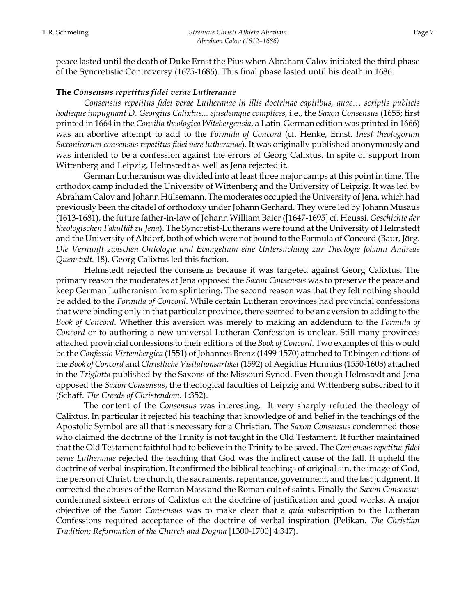peace lasted until the death of Duke Ernst the Pius when Abraham Calov initiated the third phase of the Syncretistic Controversy (1675-1686). This final phase lasted until his death in 1686.

#### **The** *Consensus repetitus fidei verae Lutheranae*

*Consensus repetitus fidei verae Lutheranae in illis doctrinae capitibus, quae… scriptis publicis hodieque impugnant D. Georgius Calixtus... ejusdemque complices,* i.e., the *Saxon Consensus* (1655; first printed in 1664 in the *Consilia theologica Witebergensia*, a Latin-German edition was printed in 1666) was an abortive attempt to add to the *Formula of Concord* (cf. Henke, Ernst. *Inest theologorum Saxonicorum consensus repetitus fidei vere lutheranae*). It was originally published anonymously and was intended to be a confession against the errors of Georg Calixtus. In spite of support from Wittenberg and Leipzig, Helmstedt as well as Jena rejected it.

 German Lutheranism was divided into at least three major camps at this point in time. The orthodox camp included the University of Wittenberg and the University of Leipzig. It was led by Abraham Calov and Johann Hülsemann. The moderates occupied the University of Jena, which had previously been the citadel of orthodoxy under Johann Gerhard. They were led by Johann Musäus (1613-1681), the future father-in-law of Johann William Baier ([1647-1695] cf. Heussi. *Geschichte der theologischen Fakultät zu Jena*). The Syncretist-Lutherans were found at the University of Helmstedt and the University of Altdorf, both of which were not bound to the Formula of Concord (Baur, Jörg. *Die Vernunft zwischen Ontologie und Evangelium eine Untersuchung zur Theologie Johann Andreas Quenstedt.* 18). Georg Calixtus led this faction.

Helmstedt rejected the consensus because it was targeted against Georg Calixtus. The primary reason the moderates at Jena opposed the *Saxon Consensus* was to preserve the peace and keep German Lutheranism from splintering. The second reason was that they felt nothing should be added to the *Formula of Concord*. While certain Lutheran provinces had provincial confessions that were binding only in that particular province, there seemed to be an aversion to adding to the *Book of Concord*. Whether this aversion was merely to making an addendum to the *Formula of Concord* or to authoring a new universal Lutheran Confession is unclear. Still many provinces attached provincial confessions to their editions of the *Book of Concord*. Two examples of this would be the *Confessio Virtembergica* (1551) of Johannes Brenz (1499-1570) attached to Tübingen editions of the *Book of Concord* and *Christliche Visitationsartikel* (1592) of Aegidius Hunnius (1550-1603) attached in the *Triglotta* published by the Saxons of the Missouri Synod. Even though Helmstedt and Jena opposed the *Saxon Consensus*, the theological faculties of Leipzig and Wittenberg subscribed to it (Schaff. *The Creeds of Christendom*. 1:352).

The content of the *Consensus* was interesting. It very sharply refuted the theology of Calixtus. In particular it rejected his teaching that knowledge of and belief in the teachings of the Apostolic Symbol are all that is necessary for a Christian. The *Saxon Consensus* condemned those who claimed the doctrine of the Trinity is not taught in the Old Testament. It further maintained that the Old Testament faithful had to believe in the Trinity to be saved. The *Consensus repetitus fidei verae Lutheranae* rejected the teaching that God was the indirect cause of the fall. It upheld the doctrine of verbal inspiration. It confirmed the biblical teachings of original sin, the image of God, the person of Christ, the church, the sacraments, repentance, government, and the last judgment. It corrected the abuses of the Roman Mass and the Roman cult of saints. Finally the *Saxon Consensus* condemned sixteen errors of Calixtus on the doctrine of justification and good works. A major objective of the *Saxon Consensus* was to make clear that a *quia* subscription to the Lutheran Confessions required acceptance of the doctrine of verbal inspiration (Pelikan. *The Christian Tradition: Reformation of the Church and Dogma* [1300-1700] 4:347).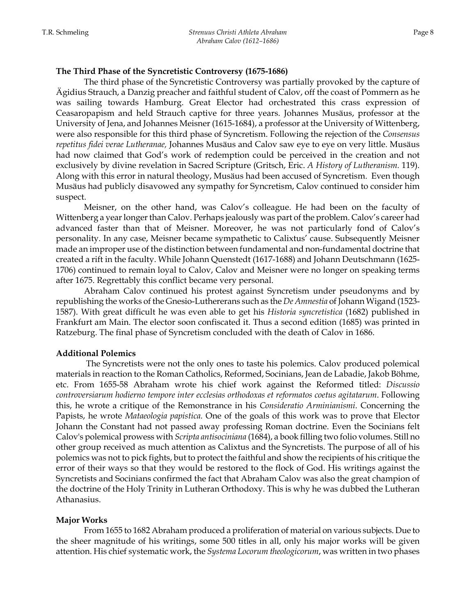### **The Third Phase of the Syncretistic Controversy (1675-1686)**

The third phase of the Syncretistic Controversy was partially provoked by the capture of Ägidius Strauch, a Danzig preacher and faithful student of Calov, off the coast of Pommern as he was sailing towards Hamburg. Great Elector had orchestrated this crass expression of Ceasaropapism and held Strauch captive for three years. Johannes Musäus, professor at the University of Jena, and Johannes Meisner (1615-1684), a professor at the University of Wittenberg, were also responsible for this third phase of Syncretism. Following the rejection of the *Consensus repetitus fidei verae Lutheranae,* Johannes Musäus and Calov saw eye to eye on very little. Musäus had now claimed that God's work of redemption could be perceived in the creation and not exclusively by divine revelation in Sacred Scripture (Gritsch, Eric. *A History of Lutheranism.* 119). Along with this error in natural theology, Musäus had been accused of Syncretism. Even though Musäus had publicly disavowed any sympathy for Syncretism, Calov continued to consider him suspect.

Meisner, on the other hand, was Calov's colleague. He had been on the faculty of Wittenberg a year longer than Calov. Perhaps jealously was part of the problem. Calov's career had advanced faster than that of Meisner. Moreover, he was not particularly fond of Calov's personality. In any case, Meisner became sympathetic to Calixtus' cause. Subsequently Meisner made an improper use of the distinction between fundamental and non-fundamental doctrine that created a rift in the faculty. While Johann Quenstedt (1617-1688) and Johann Deutschmann (1625- 1706) continued to remain loyal to Calov, Calov and Meisner were no longer on speaking terms after 1675. Regrettably this conflict became very personal.

Abraham Calov continued his protest against Syncretism under pseudonyms and by republishing the works of the Gnesio-Luthererans such as the *De Amnestia* of Johann Wigand (1523- 1587). With great difficult he was even able to get his *Historia syncretistica* (1682) published in Frankfurt am Main. The elector soon confiscated it. Thus a second edition (1685) was printed in Ratzeburg. The final phase of Syncretism concluded with the death of Calov in 1686.

# **Additional Polemics**

 The Syncretists were not the only ones to taste his polemics. Calov produced polemical materials in reaction to the Roman Catholics, Reformed, Socinians, Jean de Labadie, Jakob Böhme, etc. From 1655-58 Abraham wrote his chief work against the Reformed titled: *Discussio controversiarum hodierno tempore inter ecclesias orthodoxas et reformatos coetus agitatarum*. Following this, he wrote a critique of the Remonstrance in his *Consideratio Arminianismi*. Concerning the Papists, he wrote *Mataeologia papistica.* One of the goals of this work was to prove that Elector Johann the Constant had not passed away professing Roman doctrine. Even the Socinians felt Calov's polemical prowess with *Scripta antisociniana* (1684), a book filling two folio volumes. Still no other group received as much attention as Calixtus and the Syncretists. The purpose of all of his polemics was not to pick fights, but to protect the faithful and show the recipients of his critique the error of their ways so that they would be restored to the flock of God. His writings against the Syncretists and Socinians confirmed the fact that Abraham Calov was also the great champion of the doctrine of the Holy Trinity in Lutheran Orthodoxy. This is why he was dubbed the Lutheran Athanasius.

# **Major Works**

From 1655 to 1682 Abraham produced a proliferation of material on various subjects. Due to the sheer magnitude of his writings, some 500 titles in all, only his major works will be given attention. His chief systematic work, the *Systema Locorum theologicorum*, was written in two phases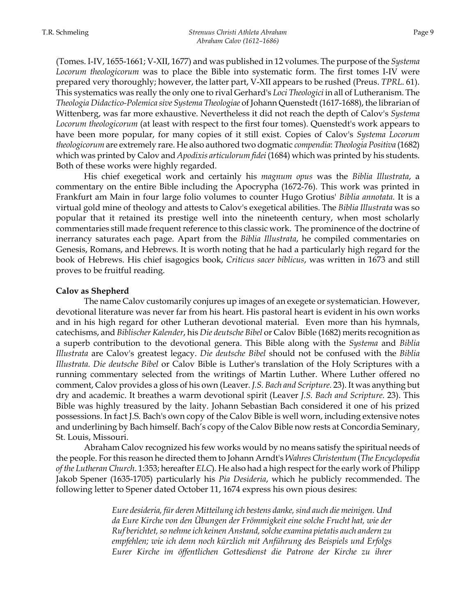(Tomes. I-IV, 1655-1661; V-XII, 1677) and was published in 12 volumes. The purpose of the *Systema Locorum theologicorum* was to place the Bible into systematic form. The first tomes I-IV were prepared very thoroughly; however, the latter part, V-XII appears to be rushed (Preus. *TPRL*. 61). This systematics was really the only one to rival Gerhard's *Loci Theologici* in all of Lutheranism. The *Theologia Didactico-Polemica sive Systema Theologiae* of Johann Quenstedt (1617-1688), the librarian of Wittenberg, was far more exhaustive. Nevertheless it did not reach the depth of Calov's *Systema Locorum theologicorum* (at least with respect to the first four tomes). Quenstedt's work appears to have been more popular, for many copies of it still exist. Copies of Calov's *Systema Locorum theologicorum* are extremely rare. He also authored two dogmatic *compendia*: *Theologia Positiva* (1682) which was printed by Calov and *Apodixis articulorum fidei* (1684) which was printed by his students. Both of these works were highly regarded.

His chief exegetical work and certainly his *magnum opus* was the *Biblia Illustrata*, a commentary on the entire Bible including the Apocrypha (1672-76). This work was printed in Frankfurt am Main in four large folio volumes to counter Hugo Grotius' *Biblia annotata*. It is a virtual gold mine of theology and attests to Calov's exegetical abilities. The *Biblia Illustrata* was so popular that it retained its prestige well into the nineteenth century, when most scholarly commentaries still made frequent reference to this classic work. The prominence of the doctrine of inerrancy saturates each page. Apart from the *Biblia Illustrata*, he compiled commentaries on Genesis, Romans, and Hebrews. It is worth noting that he had a particularly high regard for the book of Hebrews. His chief isagogics book, *Criticus sacer biblicus*, was written in 1673 and still proves to be fruitful reading.

#### **Calov as Shepherd**

The name Calov customarily conjures up images of an exegete or systematician. However, devotional literature was never far from his heart. His pastoral heart is evident in his own works and in his high regard for other Lutheran devotional material. Even more than his hymnals, catechisms, and *Biblischer Kalender*, his *Die deutsche Bibel* or Calov Bible (1682) merits recognition as a superb contribution to the devotional genera. This Bible along with the *Systema* and *Biblia Illustrata* are Calov's greatest legacy. *Die deutsche Bibel* should not be confused with the *Biblia Illustrata. Die deutsche Bibel* or Calov Bible is Luther's translation of the Holy Scriptures with a running commentary selected from the writings of Martin Luther. Where Luther offered no comment, Calov provides a gloss of his own (Leaver. *J.S. Bach and Scripture*. 23). It was anything but dry and academic. It breathes a warm devotional spirit (Leaver *J.S. Bach and Scripture*. 23). This Bible was highly treasured by the laity. Johann Sebastian Bach considered it one of his prized possessions. In fact J.S. Bach's own copy of the Calov Bible is well worn, including extensive notes and underlining by Bach himself. Bach's copy of the Calov Bible now rests at Concordia Seminary, St. Louis, Missouri.

Abraham Calov recognized his few works would by no means satisfy the spiritual needs of the people. For this reason he directed them to Johann Arndt's *Wahres Christentum* (*The Encyclopedia of the Lutheran Church*. 1:353; hereafter *ELC*). He also had a high respect for the early work of Philipp Jakob Spener (1635-1705) particularly his *Pia Desideria*, which he publicly recommended. The following letter to Spener dated October 11, 1674 express his own pious desires:

> *Eure desideria, für deren Mitteilung ich bestens danke, sind auch die meinigen. Und da Eure Kirche von den Übungen der Frömmigkeit eine solche Frucht hat, wie der Ruf berichtet, so nehme ich keinen Anstand, solche examina pietatis auch andern zu empfehlen; wie ich denn noch kürzlich mit Anführung des Beispiels und Erfolgs Eurer Kirche im öffentlichen Gottesdienst die Patrone der Kirche zu ihrer*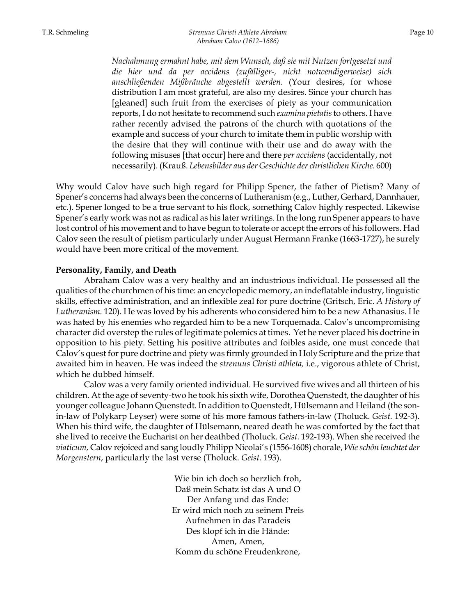*Nachahmung ermahnt habe, mit dem Wunsch, daß sie mit Nutzen fortgesetzt und die hier und da per accidens (zufälliger-, nicht notwendigerweise) sich anschließenden Mißbräuche abgestellt werden.* (Your desires, for whose distribution I am most grateful, are also my desires. Since your church has [gleaned] such fruit from the exercises of piety as your communication reports, I do not hesitate to recommend such *examina pietatis* to others*.* I have rather recently advised the patrons of the church with quotations of the example and success of your church to imitate them in public worship with the desire that they will continue with their use and do away with the following misuses [that occur] here and there *per accidens* (accidentally, not necessarily). (Krauß. *Lebensbilder aus der Geschichte der christlichen Kirche*. 600)

Why would Calov have such high regard for Philipp Spener, the father of Pietism? Many of Spener's concerns had always been the concerns of Lutheranism (e.g., Luther, Gerhard, Dannhauer, etc.). Spener longed to be a true servant to his flock, something Calov highly respected. Likewise Spener's early work was not as radical as his later writings. In the long run Spener appears to have lost control of his movement and to have begun to tolerate or accept the errors of his followers. Had Calov seen the result of pietism particularly under August Hermann Franke (1663-1727), he surely would have been more critical of the movement.

#### **Personality, Family, and Death**

 Abraham Calov was a very healthy and an industrious individual. He possessed all the qualities of the churchmen of his time: an encyclopedic memory, an indeflatable industry, linguistic skills, effective administration, and an inflexible zeal for pure doctrine (Gritsch, Eric. *A History of Lutheranism.* 120). He was loved by his adherents who considered him to be a new Athanasius. He was hated by his enemies who regarded him to be a new Torquemada. Calov's uncompromising character did overstep the rules of legitimate polemics at times. Yet he never placed his doctrine in opposition to his piety. Setting his positive attributes and foibles aside, one must concede that Calov's quest for pure doctrine and piety was firmly grounded in Holy Scripture and the prize that awaited him in heaven. He was indeed the *strenuus Christi athleta,* i.e., vigorous athlete of Christ, which he dubbed himself.

 Calov was a very family oriented individual. He survived five wives and all thirteen of his children. At the age of seventy-two he took his sixth wife, Dorothea Quenstedt, the daughter of his younger colleague Johann Quenstedt. In addition to Quenstedt, Hülsemann and Heiland (the sonin-law of Polykarp Leyser) were some of his more famous fathers-in-law (Tholuck. *Geist.* 192-3). When his third wife, the daughter of Hülsemann, neared death he was comforted by the fact that she lived to receive the Eucharist on her deathbed (Tholuck. *Geist.* 192-193). When she received the *viaticum,* Calov rejoiced and sang loudly Philipp Nicolai's (1556-1608) chorale, *Wie schön leuchtet der Morgenstern*, particularly the last verse (Tholuck. *Geist.* 193).

> Wie bin ich doch so herzlich froh, Daß mein Schatz ist das A und O Der Anfang und das Ende: Er wird mich noch zu seinem Preis Aufnehmen in das Paradeis Des klopf ich in die Hände: Amen, Amen, Komm du schöne Freudenkrone,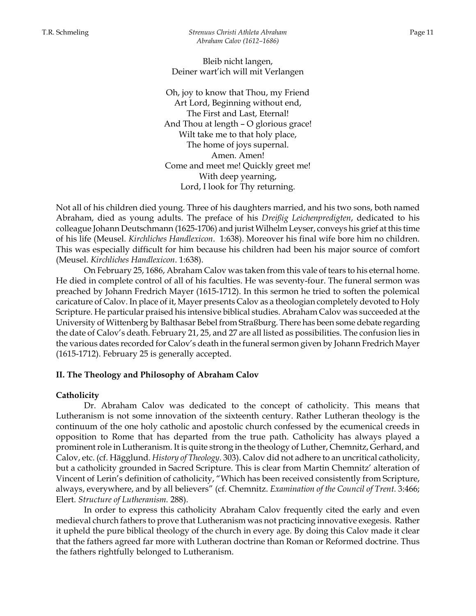Bleib nicht langen, Deiner wart'ich will mit Verlangen

Oh, joy to know that Thou, my Friend Art Lord, Beginning without end, The First and Last, Eternal! And Thou at length – O glorious grace! Wilt take me to that holy place, The home of joys supernal. Amen. Amen! Come and meet me! Quickly greet me! With deep yearning, Lord, I look for Thy returning.

Not all of his children died young. Three of his daughters married, and his two sons, both named Abraham, died as young adults. The preface of his *Dreißig Leichenpredigten*, dedicated to his colleague Johann Deutschmann (1625-1706) and jurist Wilhelm Leyser, conveys his grief at this time of his life (Meusel. *Kirchliches Handlexicon*. 1:638). Moreover his final wife bore him no children. This was especially difficult for him because his children had been his major source of comfort (Meusel. *Kirchliches Handlexicon*. 1:638).

 On February 25, 1686, Abraham Calov was taken from this vale of tears to his eternal home. He died in complete control of all of his faculties. He was seventy-four. The funeral sermon was preached by Johann Fredrich Mayer (1615-1712). In this sermon he tried to soften the polemical caricature of Calov. In place of it, Mayer presents Calov as a theologian completely devoted to Holy Scripture. He particular praised his intensive biblical studies. Abraham Calov was succeeded at the University of Wittenberg by Balthasar Bebel from Straßburg. There has been some debate regarding the date of Calov's death. February 21, 25, and 27 are all listed as possibilities. The confusion lies in the various dates recorded for Calov's death in the funeral sermon given by Johann Fredrich Mayer (1615-1712). February 25 is generally accepted.

#### **II. The Theology and Philosophy of Abraham Calov**

#### **Catholicity**

Dr. Abraham Calov was dedicated to the concept of catholicity. This means that Lutheranism is not some innovation of the sixteenth century. Rather Lutheran theology is the continuum of the one holy catholic and apostolic church confessed by the ecumenical creeds in opposition to Rome that has departed from the true path. Catholicity has always played a prominent role in Lutheranism. It is quite strong in the theology of Luther, Chemnitz, Gerhard, and Calov, etc. (cf. Hägglund. *History of Theology*. 303). Calov did not adhere to an uncritical catholicity, but a catholicity grounded in Sacred Scripture. This is clear from Martin Chemnitz' alteration of Vincent of Lerin's definition of catholicity, "Which has been received consistently from Scripture, always, everywhere, and by all believers" (cf. Chemnitz. *Examination of the Council of Trent.* 3:466; Elert. *Structure of Lutheranism.* 288).

In order to express this catholicity Abraham Calov frequently cited the early and even medieval church fathers to prove that Lutheranism was not practicing innovative exegesis. Rather it upheld the pure biblical theology of the church in every age. By doing this Calov made it clear that the fathers agreed far more with Lutheran doctrine than Roman or Reformed doctrine. Thus the fathers rightfully belonged to Lutheranism.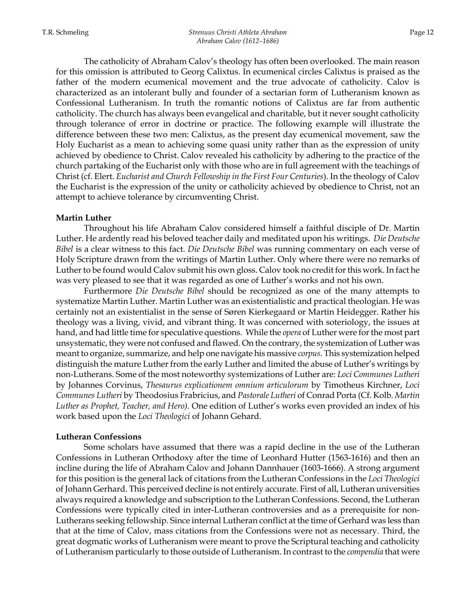The catholicity of Abraham Calov's theology has often been overlooked. The main reason for this omission is attributed to Georg Calixtus. In ecumenical circles Calixtus is praised as the father of the modern ecumenical movement and the true advocate of catholicity. Calov is characterized as an intolerant bully and founder of a sectarian form of Lutheranism known as Confessional Lutheranism. In truth the romantic notions of Calixtus are far from authentic catholicity. The church has always been evangelical and charitable, but it never sought catholicity through tolerance of error in doctrine or practice. The following example will illustrate the difference between these two men: Calixtus, as the present day ecumenical movement, saw the Holy Eucharist as a mean to achieving some quasi unity rather than as the expression of unity achieved by obedience to Christ. Calov revealed his catholicity by adhering to the practice of the church partaking of the Eucharist only with those who are in full agreement with the teachings of Christ (cf. Elert. *Eucharist and Church Fellowship in the First Four Centuries*). In the theology of Calov the Eucharist is the expression of the unity or catholicity achieved by obedience to Christ, not an attempt to achieve tolerance by circumventing Christ.

#### **Martin Luther**

 Throughout his life Abraham Calov considered himself a faithful disciple of Dr. Martin Luther. He ardently read his beloved teacher daily and meditated upon his writings. *Die Deutsche Bibel* is a clear witness to this fact. *Die Deutsche Bibel* was running commentary on each verse of Holy Scripture drawn from the writings of Martin Luther. Only where there were no remarks of Luther to be found would Calov submit his own gloss. Calov took no credit for this work. In fact he was very pleased to see that it was regarded as one of Luther's works and not his own.

Furthermore *Die Deutsche Bibel* should be recognized as one of the many attempts to systematize Martin Luther. Martin Luther was an existentialistic and practical theologian. He was certainly not an existentialist in the sense of Søren Kierkegaard or Martin Heidegger. Rather his theology was a living, vivid, and vibrant thing. It was concerned with soteriology, the issues at hand, and had little time for speculative questions. While the *opera* of Luther were for the most part unsystematic, they were not confused and flawed. On the contrary, the systemization of Luther was meant to organize, summarize, and help one navigate his massive *corpus*. This systemization helped distinguish the mature Luther from the early Luther and limited the abuse of Luther's writings by non-Lutherans. Some of the most noteworthy systemizations of Luther are: *Loci Communes Lutheri* by Johannes Corvinus, *Thesaurus explicationem omnium articulorum* by Timotheus Kirchner, *Loci Communes Lutheri* by Theodosius Frabricius, and *Pastorale Lutheri* of Conrad Porta (Cf. Kolb. *Martin Luther as Prophet, Teacher, and Hero).* One edition of Luther's works even provided an index of his work based upon the *Loci Theologici* of Johann Gehard.

#### **Lutheran Confessions**

Some scholars have assumed that there was a rapid decline in the use of the Lutheran Confessions in Lutheran Orthodoxy after the time of Leonhard Hutter (1563-1616) and then an incline during the life of Abraham Calov and Johann Dannhauer (1603-1666). A strong argument for this position is the general lack of citations from the Lutheran Confessions in the *Loci Theologici* of Johann Gerhard. This perceived decline is not entirely accurate. First of all, Lutheran universities always required a knowledge and subscription to the Lutheran Confessions. Second, the Lutheran Confessions were typically cited in inter-Lutheran controversies and as a prerequisite for non-Lutherans seeking fellowship. Since internal Lutheran conflict at the time of Gerhard was less than that at the time of Calov, mass citations from the Confessions were not as necessary. Third, the great dogmatic works of Lutheranism were meant to prove the Scriptural teaching and catholicity of Lutheranism particularly to those outside of Lutheranism. In contrast to the *compendia* that were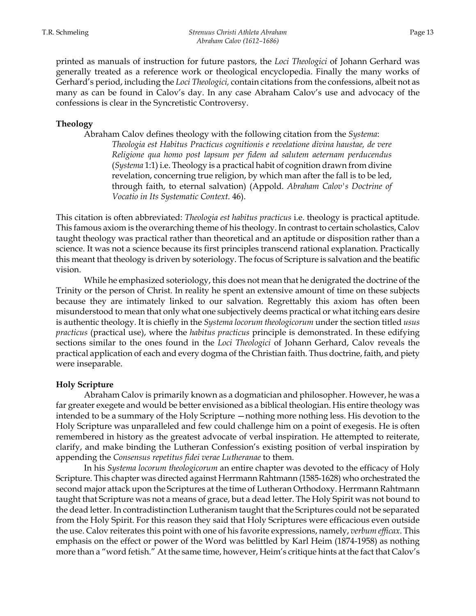printed as manuals of instruction for future pastors, the *Loci Theologici* of Johann Gerhard was generally treated as a reference work or theological encyclopedia. Finally the many works of Gerhard's period, including the *Loci Theologici,* contain citations from the confessions, albeit not as many as can be found in Calov's day. In any case Abraham Calov's use and advocacy of the confessions is clear in the Syncretistic Controversy.

# **Theology**

Abraham Calov defines theology with the following citation from the *Systema*: *Theologia est Habitus Practicus cognitionis e revelatione divina haustae, de vere Religione qua homo post lapsum per fidem ad salutem aeternam perducendus* (*Systema* 1:1) i.e. Theology is a practical habit of cognition drawn from divine revelation, concerning true religion, by which man after the fall is to be led, through faith, to eternal salvation) (Appold. *Abraham Calov's Doctrine of Vocatio in Its Systematic Context.* 46).

This citation is often abbreviated: *Theologia est habitus practicus* i.e. theology is practical aptitude. This famous axiom is the overarching theme of his theology. In contrast to certain scholastics, Calov taught theology was practical rather than theoretical and an aptitude or disposition rather than a science. It was not a science because its first principles transcend rational explanation. Practically this meant that theology is driven by soteriology. The focus of Scripture is salvation and the beatific vision.

 While he emphasized soteriology, this does not mean that he denigrated the doctrine of the Trinity or the person of Christ. In reality he spent an extensive amount of time on these subjects because they are intimately linked to our salvation. Regrettably this axiom has often been misunderstood to mean that only what one subjectively deems practical or what itching ears desire is authentic theology. It is chiefly in the *Systema locorum theologicorum* under the section titled *usus practicus* (practical use), where the *habitus practicus* principle is demonstrated. In these edifying sections similar to the ones found in the *Loci Theologici* of Johann Gerhard, Calov reveals the practical application of each and every dogma of the Christian faith. Thus doctrine, faith, and piety were inseparable.

# **Holy Scripture**

 Abraham Calov is primarily known as a dogmatician and philosopher. However, he was a far greater exegete and would be better envisioned as a biblical theologian. His entire theology was intended to be a summary of the Holy Scripture —nothing more nothing less. His devotion to the Holy Scripture was unparalleled and few could challenge him on a point of exegesis. He is often remembered in history as the greatest advocate of verbal inspiration. He attempted to reiterate, clarify, and make binding the Lutheran Confession's existing position of verbal inspiration by appending the *Consensus repetitus fidei verae Lutheranae* to them.

 In his *Systema locorum theologicorum* an entire chapter was devoted to the efficacy of Holy Scripture. This chapter was directed against Herrmann Rahtmann (1585-1628) who orchestrated the second major attack upon the Scriptures at the time of Lutheran Orthodoxy. Herrmann Rahtmann taught that Scripture was not a means of grace, but a dead letter. The Holy Spirit was not bound to the dead letter. In contradistinction Lutheranism taught that the Scriptures could not be separated from the Holy Spirit. For this reason they said that Holy Scriptures were efficacious even outside the use. Calov reiterates this point with one of his favorite expressions, namely, *verbum efficax*. This emphasis on the effect or power of the Word was belittled by Karl Heim (1874-1958) as nothing more than a "word fetish." At the same time, however, Heim's critique hints at the fact that Calov's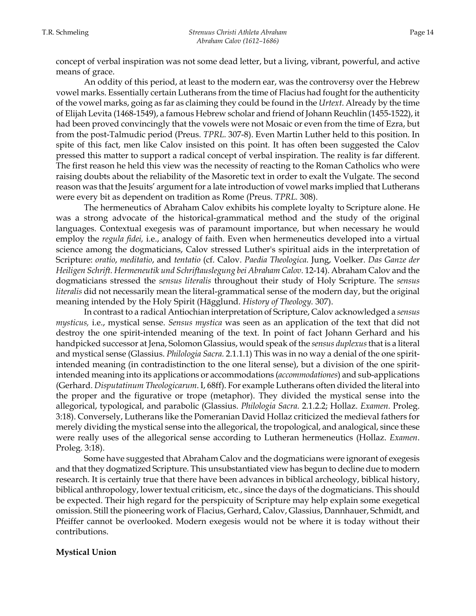concept of verbal inspiration was not some dead letter, but a living, vibrant, powerful, and active means of grace.

 An oddity of this period, at least to the modern ear, was the controversy over the Hebrew vowel marks. Essentially certain Lutherans from the time of Flacius had fought for the authenticity of the vowel marks, going as far as claiming they could be found in the *Urtext*. Already by the time of Elijah Levita (1468-1549), a famous Hebrew scholar and friend of Johann Reuchlin (1455-1522), it had been proved convincingly that the vowels were not Mosaic or even from the time of Ezra, but from the post-Talmudic period (Preus. *TPRL.* 307-8). Even Martin Luther held to this position. In spite of this fact, men like Calov insisted on this point. It has often been suggested the Calov pressed this matter to support a radical concept of verbal inspiration. The reality is far different. The first reason he held this view was the necessity of reacting to the Roman Catholics who were raising doubts about the reliability of the Masoretic text in order to exalt the Vulgate. The second reason was that the Jesuits' argument for a late introduction of vowel marks implied that Lutherans were every bit as dependent on tradition as Rome (Preus. *TPRL.* 308).

 The hermeneutics of Abraham Calov exhibits his complete loyalty to Scripture alone. He was a strong advocate of the historical-grammatical method and the study of the original languages. Contextual exegesis was of paramount importance, but when necessary he would employ the *regula fidei,* i.e., analogy of faith. Even when hermeneutics developed into a virtual science among the dogmaticians, Calov stressed Luther's spiritual aids in the interpretation of Scripture: *oratio*, *meditatio*, and *tentatio* (cf. Calov. *Paedia Theologica*. Jung, Voelker. *Das Ganze der Heiligen Schrift. Hermeneutik und Schriftauslegung bei Abraham Calov.* 12-14). Abraham Calov and the dogmaticians stressed the *sensus literalis* throughout their study of Holy Scripture. The *sensus literalis* did not necessarily mean the literal-grammatical sense of the modern day, but the original meaning intended by the Holy Spirit (Hägglund. *History of Theology.* 307).

In contrast to a radical Antiochian interpretation of Scripture, Calov acknowledged a *sensus mysticus,* i.e., mystical sense. *Sensus mystica* was seen as an application of the text that did not destroy the one spirit-intended meaning of the text. In point of fact Johann Gerhard and his handpicked successor at Jena, Solomon Glassius, would speak of the *sensus duplexus* that is a literal and mystical sense (Glassius. *Philologia Sacra.* 2.1.1.1) This was in no way a denial of the one spiritintended meaning (in contradistinction to the one literal sense), but a division of the one spiritintended meaning into its applications or accommodations (*accommodationes*) and sub-applications (Gerhard. *Disputatinum Theologicarum*. I, 68ff). For example Lutherans often divided the literal into the proper and the figurative or trope (metaphor). They divided the mystical sense into the allegorical, typological, and parabolic (Glassius. *Philologia Sacra.* 2.1.2.2; Hollaz. *Examen.* Proleg. 3:18). Conversely, Lutherans like the Pomeranian David Hollaz criticized the medieval fathers for merely dividing the mystical sense into the allegorical, the tropological, and analogical, since these were really uses of the allegorical sense according to Lutheran hermeneutics (Hollaz. *Examen*. Proleg. 3:18).

 Some have suggested that Abraham Calov and the dogmaticians were ignorant of exegesis and that they dogmatized Scripture. This unsubstantiated view has begun to decline due to modern research. It is certainly true that there have been advances in biblical archeology, biblical history, biblical anthropology, lower textual criticism, etc., since the days of the dogmaticians. This should be expected. Their high regard for the perspicuity of Scripture may help explain some exegetical omission. Still the pioneering work of Flacius, Gerhard, Calov, Glassius, Dannhauer, Schmidt, and Pfeiffer cannot be overlooked. Modern exegesis would not be where it is today without their contributions.

# **Mystical Union**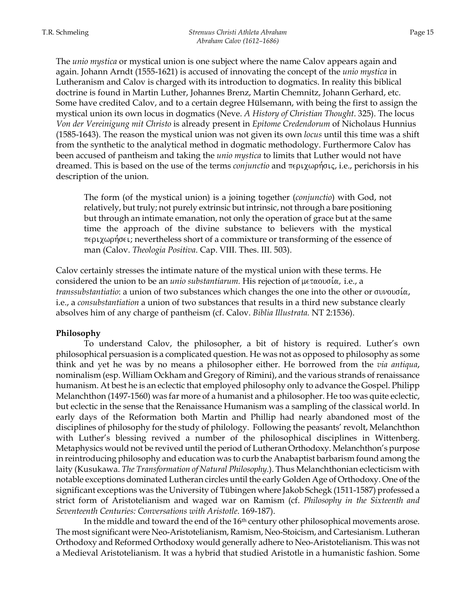The *unio mystica* or mystical union is one subject where the name Calov appears again and again. Johann Arndt (1555-1621) is accused of innovating the concept of the *unio mystica* in Lutheranism and Calov is charged with its introduction to dogmatics. In reality this biblical doctrine is found in Martin Luther, Johannes Brenz, Martin Chemnitz, Johann Gerhard, etc. Some have credited Calov, and to a certain degree Hülsemann, with being the first to assign the mystical union its own locus in dogmatics (Neve. *A History of Christian Thought*. 325). The locus *Von der Vereinigung mit Christo* is already present in *Epitome Credendorum* of Nicholaus Hunnius (1585-1643). The reason the mystical union was not given its own *locus* until this time was a shift from the synthetic to the analytical method in dogmatic methodology. Furthermore Calov has been accused of pantheism and taking the *unio mystica* to limits that Luther would not have dreamed. This is based on the use of the terms *conjunctio* and περιχωρήσις, i.e., perichorsis in his description of the union.

The form (of the mystical union) is a joining together (*conjunctio*) with God, not relatively, but truly; not purely extrinsic but intrinsic, not through a bare positioning but through an intimate emanation, not only the operation of grace but at the same time the approach of the divine substance to believers with the mystical  $\pi \epsilon \rho \chi \omega \rho \eta \sigma \epsilon$ ; nevertheless short of a commixture or transforming of the essence of man (Calov. *Theologia Positiva*. Cap. VIII. Thes. III. 503).

Calov certainly stresses the intimate nature of the mystical union with these terms. He considered the union to be an *unio substantiarum*. His rejection of  $\mu \in \mathfrak{a}$  i.e., a *transsubstantiatio*: a union of two substances which changes the one into the other or συνουσία, i.e., a *consubstantiation* a union of two substances that results in a third new substance clearly absolves him of any charge of pantheism (cf. Calov. *Biblia Illustrata.* NT 2:1536).

#### **Philosophy**

To understand Calov, the philosopher, a bit of history is required. Luther's own philosophical persuasion is a complicated question. He was not as opposed to philosophy as some think and yet he was by no means a philosopher either. He borrowed from the *via antiqua*, nominalism (esp. William Ockham and Gregory of Rimini), and the various strands of renaissance humanism. At best he is an eclectic that employed philosophy only to advance the Gospel. Philipp Melanchthon (1497-1560) was far more of a humanist and a philosopher. He too was quite eclectic, but eclectic in the sense that the Renaissance Humanism was a sampling of the classical world. In early days of the Reformation both Martin and Phillip had nearly abandoned most of the disciplines of philosophy for the study of philology. Following the peasants' revolt, Melanchthon with Luther's blessing revived a number of the philosophical disciplines in Wittenberg. Metaphysics would not be revived until the period of Lutheran Orthodoxy. Melanchthon's purpose in reintroducing philosophy and education was to curb the Anabaptist barbarism found among the laity (Kusukawa. *The Transformation of Natural Philosophy.*). Thus Melanchthonian eclecticism with notable exceptions dominated Lutheran circles until the early Golden Age of Orthodoxy. One of the significant exceptions was the University of Tübingen where Jakob Schegk (1511-1587) professed a strict form of Aristotelianism and waged war on Ramism (cf. *Philosophy in the Sixteenth and Seventeenth Centuries: Conversations with Aristotle*. 169-187).

In the middle and toward the end of the 16<sup>th</sup> century other philosophical movements arose. The most significant were Neo-Aristotelianism, Ramism, Neo-Stoicism, and Cartesianism. Lutheran Orthodoxy and Reformed Orthodoxy would generally adhere to Neo-Aristotelianism. This was not a Medieval Aristotelianism. It was a hybrid that studied Aristotle in a humanistic fashion. Some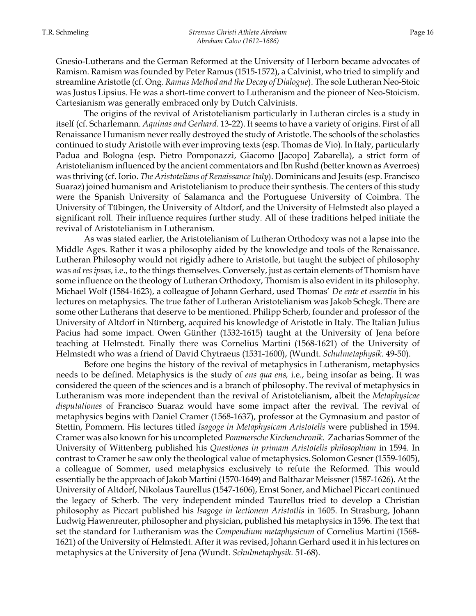Gnesio-Lutherans and the German Reformed at the University of Herborn became advocates of Ramism. Ramism was founded by Peter Ramus (1515-1572), a Calvinist, who tried to simplify and streamline Aristotle (cf. Ong. *Ramus Method and the Decay of Dialogue*). The sole Lutheran Neo-Stoic was Justus Lipsius. He was a short-time convert to Lutheranism and the pioneer of Neo-Stoicism. Cartesianism was generally embraced only by Dutch Calvinists.

 The origins of the revival of Aristotelianism particularly in Lutheran circles is a study in itself (cf. Scharlemann. *Aquinas and Gerhard.* 13-22). It seems to have a variety of origins. First of all Renaissance Humanism never really destroyed the study of Aristotle. The schools of the scholastics continued to study Aristotle with ever improving texts (esp. Thomas de Vio). In Italy, particularly Padua and Bologna (esp. Pietro Pomponazzi, Giacomo [Jacopo] Zabarella), a strict form of Aristotelianism influenced by the ancient commentators and Ibn Rushd (better known as Averroes) was thriving (cf. Iorio. *The Aristotelians of Renaissance Italy*). Dominicans and Jesuits (esp. Francisco Suaraz) joined humanism and Aristotelianism to produce their synthesis. The centers of this study were the Spanish University of Salamanca and the Portuguese University of Coimbra. The University of Tübingen, the University of Altdorf, and the University of Helmstedt also played a significant roll. Their influence requires further study. All of these traditions helped initiate the revival of Aristotelianism in Lutheranism.

As was stated earlier, the Aristotelianism of Lutheran Orthodoxy was not a lapse into the Middle Ages. Rather it was a philosophy aided by the knowledge and tools of the Renaissance. Lutheran Philosophy would not rigidly adhere to Aristotle, but taught the subject of philosophy was *ad res ipsas,* i.e., to the things themselves. Conversely, just as certain elements of Thomism have some influence on the theology of Lutheran Orthodoxy, Thomism is also evident in its philosophy. Michael Wolf (1584-1623), a colleague of Johann Gerhard, used Thomas' *De ente et essentia* in his lectures on metaphysics. The true father of Lutheran Aristotelianism was Jakob Schegk. There are some other Lutherans that deserve to be mentioned. Philipp Scherb, founder and professor of the University of Altdorf in Nürnberg, acquired his knowledge of Aristotle in Italy. The Italian Julius Pacius had some impact. Owen Günther (1532-1615) taught at the University of Jena before teaching at Helmstedt. Finally there was Cornelius Martini (1568-1621) of the University of Helmstedt who was a friend of David Chytraeus (1531-1600), (Wundt. *Schulmetaphysik.* 49-50).

Before one begins the history of the revival of metaphysics in Lutheranism, metaphysics needs to be defined. Metaphysics is the study of *ens qua ens,* i.e., being insofar as being. It was considered the queen of the sciences and is a branch of philosophy. The revival of metaphysics in Lutheranism was more independent than the revival of Aristotelianism, albeit the *Metaphysicae disputationes* of Francisco Suaraz would have some impact after the revival. The revival of metaphysics begins with Daniel Cramer (1568-1637), professor at the Gymnasium and pastor of Stettin, Pommern. His lectures titled *Isagoge in Metaphysicam Aristotelis* were published in 1594. Cramer was also known for his uncompleted *Pommersche Kirchenchronik*. Zacharias Sommer of the University of Wittenberg published his *Questiones in primam Aristotelis philosophiam* in 1594. In contrast to Cramer he saw only the theological value of metaphysics. Solomon Gesner (1559-1605), a colleague of Sommer, used metaphysics exclusively to refute the Reformed. This would essentially be the approach of Jakob Martini (1570-1649) and Balthazar Meissner (1587-1626). At the University of Altdorf, Nikolaus Taurellus (1547-1606), Ernst Soner, and Michael Piccart continued the legacy of Scherb. The very independent minded Taurellus tried to develop a Christian philosophy as Piccart published his *Isagoge in lectionem Aristotlis* in 1605. In Strasburg, Johann Ludwig Hawenreuter, philosopher and physician, published his metaphysics in 1596. The text that set the standard for Lutheranism was the *Compendium metaphysicum* of Cornelius Martini (1568- 1621) of the University of Helmstedt. After it was revised, Johann Gerhard used it in his lectures on metaphysics at the University of Jena (Wundt. *Schulmetaphysik.* 51-68).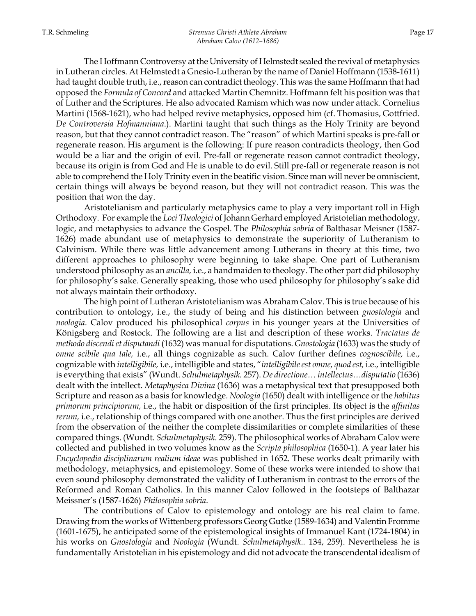The Hoffmann Controversy at the University of Helmstedt sealed the revival of metaphysics in Lutheran circles. At Helmstedt a Gnesio-Lutheran by the name of Daniel Hoffmann (1538-1611) had taught double truth, i.e., reason can contradict theology. This was the same Hoffmann that had opposed the *Formula of Concord* and attacked Martin Chemnitz. Hoffmann felt his position was that of Luther and the Scriptures. He also advocated Ramism which was now under attack. Cornelius Martini (1568-1621), who had helped revive metaphysics, opposed him (cf. Thomasius, Gottfried. *De Controversia Hofmanniana*.). Martini taught that such things as the Holy Trinity are beyond reason, but that they cannot contradict reason. The "reason" of which Martini speaks is pre-fall or regenerate reason. His argument is the following: If pure reason contradicts theology, then God would be a liar and the origin of evil. Pre-fall or regenerate reason cannot contradict theology, because its origin is from God and He is unable to do evil. Still pre-fall or regenerate reason is not able to comprehend the Holy Trinity even in the beatific vision. Since man will never be omniscient, certain things will always be beyond reason, but they will not contradict reason. This was the position that won the day.

Aristotelianism and particularly metaphysics came to play a very important roll in High Orthodoxy. For example the *Loci Theologici* of Johann Gerhard employed Aristotelian methodology, logic, and metaphysics to advance the Gospel. The *Philosophia sobria* of Balthasar Meisner (1587- 1626) made abundant use of metaphysics to demonstrate the superiority of Lutheranism to Calvinism. While there was little advancement among Lutherans in theory at this time, two different approaches to philosophy were beginning to take shape. One part of Lutheranism understood philosophy as an *ancilla,* i.e., a handmaiden to theology. The other part did philosophy for philosophy's sake. Generally speaking, those who used philosophy for philosophy's sake did not always maintain their orthodoxy.

The high point of Lutheran Aristotelianism was Abraham Calov. This is true because of his contribution to ontology, i.e., the study of being and his distinction between *gnostologia* and *noologia*. Calov produced his philosophical *corpus* in his younger years at the Universities of Königsberg and Rostock. The following are a list and description of these works. *Tractatus de methodo discendi et disputandi* (1632) was manual for disputations. *Gnostologia* (1633) was the study of *omne scibile qua tale,* i.e., all things cognizable as such. Calov further defines *cognoscibile,* i.e., cognizable with *intelligibile,* i.e., intelligible and states, "*intelligibile est omne, quod est,* i.e., intelligible is everything that exists" (Wundt. *Schulmetaphysik.* 257). *De directione… intellectus…disputatio* (1636) dealt with the intellect. *Metaphysica Divina* (1636) was a metaphysical text that presupposed both Scripture and reason as a basis for knowledge. *Noologia* (1650) dealt with intelligence or the *habitus primorum principiorum,* i.e., the habit or disposition of the first principles. Its object is the *affinitas rerum,* i.e., relationship of things compared with one another. Thus the first principles are derived from the observation of the neither the complete dissimilarities or complete similarities of these compared things. (Wundt. *Schulmetaphysik.* 259). The philosophical works of Abraham Calov were collected and published in two volumes know as the *Scripta philosophica* (1650-1). A year later his *Encyclopedia disciplinarum realium ideae* was published in 1652. These works dealt primarily with methodology, metaphysics, and epistemology. Some of these works were intended to show that even sound philosophy demonstrated the validity of Lutheranism in contrast to the errors of the Reformed and Roman Catholics. In this manner Calov followed in the footsteps of Balthazar Meissner's (1587-1626) *Philosophia sobria*.

The contributions of Calov to epistemology and ontology are his real claim to fame. Drawing from the works of Wittenberg professors Georg Gutke (1589-1634) and Valentin Fromme (1601-1675), he anticipated some of the epistemological insights of Immanuel Kant (1724-1804) in his works on *Gnostologia* and *Noologia* (Wundt. *Schulmetaphysik..* 134, 259). Nevertheless he is fundamentally Aristotelian in his epistemology and did not advocate the transcendental idealism of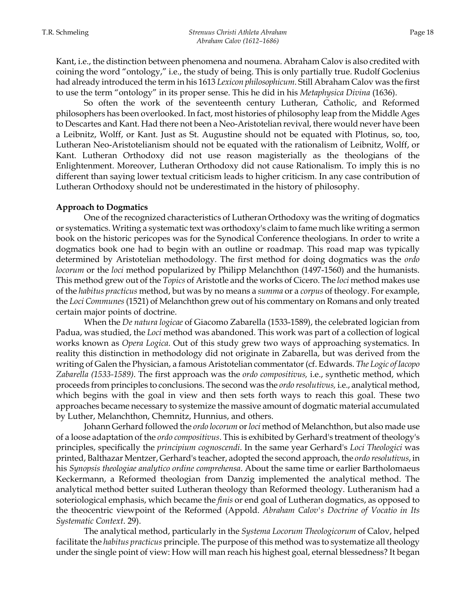Kant, i.e., the distinction between phenomena and noumena. Abraham Calov is also credited with coining the word "ontology," i.e., the study of being. This is only partially true. Rudolf Goclenius had already introduced the term in his 1613 *Lexicon philosophicum*. Still Abraham Calov was the first to use the term "ontology" in its proper sense. This he did in his *Metaphysica Divina* (1636).

So often the work of the seventeenth century Lutheran, Catholic, and Reformed philosophers has been overlooked. In fact, most histories of philosophy leap from the Middle Ages to Descartes and Kant. Had there not been a Neo-Aristotelian revival, there would never have been a Leibnitz, Wolff, or Kant. Just as St. Augustine should not be equated with Plotinus, so, too, Lutheran Neo-Aristotelianism should not be equated with the rationalism of Leibnitz, Wolff, or Kant. Lutheran Orthodoxy did not use reason magisterially as the theologians of the Enlightenment. Moreover, Lutheran Orthodoxy did not cause Rationalism. To imply this is no different than saying lower textual criticism leads to higher criticism. In any case contribution of Lutheran Orthodoxy should not be underestimated in the history of philosophy.

#### **Approach to Dogmatics**

One of the recognized characteristics of Lutheran Orthodoxy was the writing of dogmatics or systematics. Writing a systematic text was orthodoxy's claim to fame much like writing a sermon book on the historic pericopes was for the Synodical Conference theologians. In order to write a dogmatics book one had to begin with an outline or roadmap. This road map was typically determined by Aristotelian methodology. The first method for doing dogmatics was the *ordo locorum* or the *loci* method popularized by Philipp Melanchthon (1497-1560) and the humanists. This method grew out of the *Topics* of Aristotle and the works of Cicero. The *loci* method makes use of the *habitus practicus* method, but was by no means a *summa* or a *corpus* of theology. For example, the *Loci Communes* (1521) of Melanchthon grew out of his commentary on Romans and only treated certain major points of doctrine.

When the *De natura logicae* of Giacomo Zabarella (1533-1589), the celebrated logician from Padua, was studied, the *Loci* method was abandoned. This work was part of a collection of logical works known as *Opera Logica*. Out of this study grew two ways of approaching systematics. In reality this distinction in methodology did not originate in Zabarella, but was derived from the writing of Galen the Physician, a famous Aristotelian commentator (cf. Edwards. *The Logic of Iacopo Zabarella (1533-1589)*. The first approach was the *ordo compositivus,* i.e., synthetic method, which proceeds from principles to conclusions. The second was the *ordo resolutivus,* i.e., analytical method, which begins with the goal in view and then sets forth ways to reach this goal. These two approaches became necessary to systemize the massive amount of dogmatic material accumulated by Luther, Melanchthon, Chemnitz, Hunnius, and others.

 Johann Gerhard followed the *ordo locorum* or *loci* method of Melanchthon, but also made use of a loose adaptation of the *ordo compositivus*. This is exhibited by Gerhard's treatment of theology's principles, specifically the *principium cognoscendi*. In the same year Gerhard's *Loci Theologici* was printed, Balthazar Mentzer, Gerhard's teacher, adopted the second approach, the *ordo resolutivus*, in his *Synopsis theologiae analytico ordine comprehensa*. About the same time or earlier Bartholomaeus Keckermann, a Reformed theologian from Danzig implemented the analytical method. The analytical method better suited Lutheran theology than Reformed theology. Lutheranism had a soteriological emphasis, which became the *finis* or end goal of Lutheran dogmatics, as opposed to the theocentric viewpoint of the Reformed (Appold. *Abraham Calov's Doctrine of Vocatio in Its Systematic Context*. 29).

 The analytical method, particularly in the *Systema Locorum Theologicorum* of Calov, helped facilitate the *habitus practicus* principle. The purpose of this method was to systematize all theology under the single point of view: How will man reach his highest goal, eternal blessedness? It began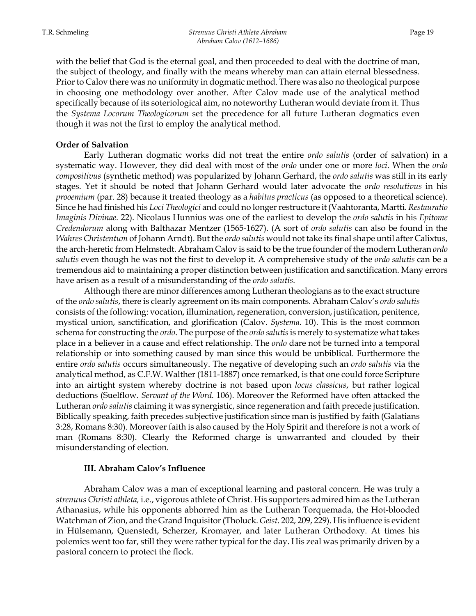with the belief that God is the eternal goal, and then proceeded to deal with the doctrine of man, the subject of theology, and finally with the means whereby man can attain eternal blessedness. Prior to Calov there was no uniformity in dogmatic method. There was also no theological purpose in choosing one methodology over another. After Calov made use of the analytical method specifically because of its soteriological aim, no noteworthy Lutheran would deviate from it. Thus the *Systema Locorum Theologicorum* set the precedence for all future Lutheran dogmatics even though it was not the first to employ the analytical method.

#### **Order of Salvation**

Early Lutheran dogmatic works did not treat the entire *ordo salutis* (order of salvation) in a systematic way. However, they did deal with most of the *ordo* under one or more *loci*. When the *ordo compositivus* (synthetic method) was popularized by Johann Gerhard, the *ordo salutis* was still in its early stages. Yet it should be noted that Johann Gerhard would later advocate the *ordo resolutivus* in his *prooemium* (par. 28) because it treated theology as a *habitus practicus* (as opposed to a theoretical science). Since he had finished his *Loci Theologici* and could no longer restructure it (Vaahtoranta, Martti. *Restauratio Imaginis Divinae.* 22). Nicolaus Hunnius was one of the earliest to develop the *ordo salutis* in his *Epitome Credendorum* along with Balthazar Mentzer (1565-1627). (A sort of *ordo salutis* can also be found in the *Wahres Christentum* of Johann Arndt). But the *ordo salutis* would not take its final shape until after Calixtus, the arch-heretic from Helmstedt. Abraham Calov is said to be the true founder of the modern Lutheran *ordo salutis* even though he was not the first to develop it. A comprehensive study of the *ordo salutis* can be a tremendous aid to maintaining a proper distinction between justification and sanctification. Many errors have arisen as a result of a misunderstanding of the *ordo salutis*.

Although there are minor differences among Lutheran theologians as to the exact structure of the *ordo salutis*, there is clearly agreement on its main components. Abraham Calov's *ordo salutis*  consists of the following: vocation, illumination, regeneration, conversion, justification, penitence, mystical union, sanctification, and glorification (Calov. *Systema.* 10). This is the most common schema for constructing the *ordo*. The purpose of the *ordo salutis* is merely to systematize what takes place in a believer in a cause and effect relationship. The *ordo* dare not be turned into a temporal relationship or into something caused by man since this would be unbiblical. Furthermore the entire *ordo salutis* occurs simultaneously. The negative of developing such an *ordo salutis* via the analytical method, as C.F.W. Walther (1811-1887) once remarked, is that one could force Scripture into an airtight system whereby doctrine is not based upon *locus classicus*, but rather logical deductions (Suelflow. *Servant of the Word.* 106). Moreover the Reformed have often attacked the Lutheran *ordo salutis* claiming it was synergistic, since regeneration and faith precede justification. Biblically speaking, faith precedes subjective justification since man is justified by faith (Galatians 3:28, Romans 8:30). Moreover faith is also caused by the Holy Spirit and therefore is not a work of man (Romans 8:30). Clearly the Reformed charge is unwarranted and clouded by their misunderstanding of election.

# **III. Abraham Calov's Influence**

Abraham Calov was a man of exceptional learning and pastoral concern. He was truly a *strenuus Christi athleta,* i.e., vigorous athlete of Christ. His supporters admired him as the Lutheran Athanasius, while his opponents abhorred him as the Lutheran Torquemada, the Hot-blooded Watchman of Zion, and the Grand Inquisitor (Tholuck. *Geist.* 202, 209, 229). His influence is evident in Hülsemann, Quenstedt, Scherzer, Kromayer, and later Lutheran Orthodoxy. At times his polemics went too far, still they were rather typical for the day. His zeal was primarily driven by a pastoral concern to protect the flock.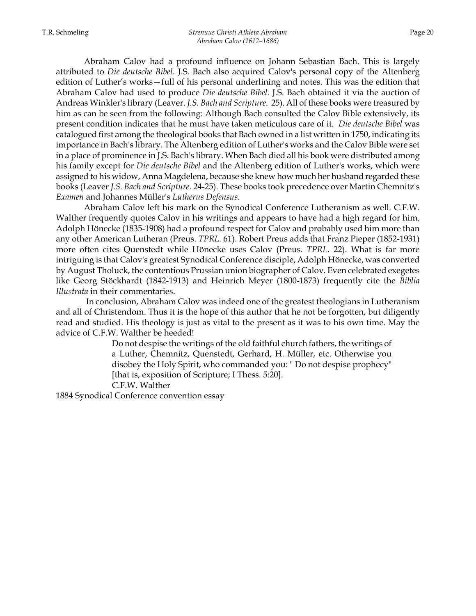Abraham Calov had a profound influence on Johann Sebastian Bach. This is largely attributed to *Die deutsche Bibel*. J.S. Bach also acquired Calov's personal copy of the Altenberg edition of Luther's works—full of his personal underlining and notes. This was the edition that Abraham Calov had used to produce *Die deutsche Bibel*. J.S. Bach obtained it via the auction of Andreas Winkler's library (Leaver. *J.S. Bach and Scripture*. 25). All of these books were treasured by him as can be seen from the following: Although Bach consulted the Calov Bible extensively, its present condition indicates that he must have taken meticulous care of it. *Die deutsche Bibel* was catalogued first among the theological books that Bach owned in a list written in 1750, indicating its importance in Bach's library. The Altenberg edition of Luther's works and the Calov Bible were set in a place of prominence in J.S. Bach's library. When Bach died all his book were distributed among his family except for *Die deutsche Bibel* and the Altenberg edition of Luther's works, which were assigned to his widow, Anna Magdelena, because she knew how much her husband regarded these books (Leaver *J.S. Bach and Scripture*. 24-25). These books took precedence over Martin Chemnitz's *Examen* and Johannes Müller's *Lutherus Defensus*.

Abraham Calov left his mark on the Synodical Conference Lutheranism as well. C.F.W. Walther frequently quotes Calov in his writings and appears to have had a high regard for him. Adolph Hönecke (1835-1908) had a profound respect for Calov and probably used him more than any other American Lutheran (Preus. *TPRL.* 61). Robert Preus adds that Franz Pieper (1852-1931) more often cites Quenstedt while Hönecke uses Calov (Preus. *TPRL.* 22). What is far more intriguing is that Calov's greatest Synodical Conference disciple, Adolph Hönecke, was converted by August Tholuck, the contentious Prussian union biographer of Calov. Even celebrated exegetes like Georg Stöckhardt (1842-1913) and Heinrich Meyer (1800-1873) frequently cite the *Biblia Illustrata* in their commentaries.

 In conclusion, Abraham Calov was indeed one of the greatest theologians in Lutheranism and all of Christendom. Thus it is the hope of this author that he not be forgotten, but diligently read and studied. His theology is just as vital to the present as it was to his own time. May the advice of C.F.W. Walther be heeded!

> Do not despise the writings of the old faithful church fathers, the writings of a Luther, Chemnitz, Quenstedt, Gerhard, H. Müller, etc. Otherwise you disobey the Holy Spirit, who commanded you: " Do not despise prophecy" [that is, exposition of Scripture; I Thess. 5:20]. C.F.W. Walther

1884 Synodical Conference convention essay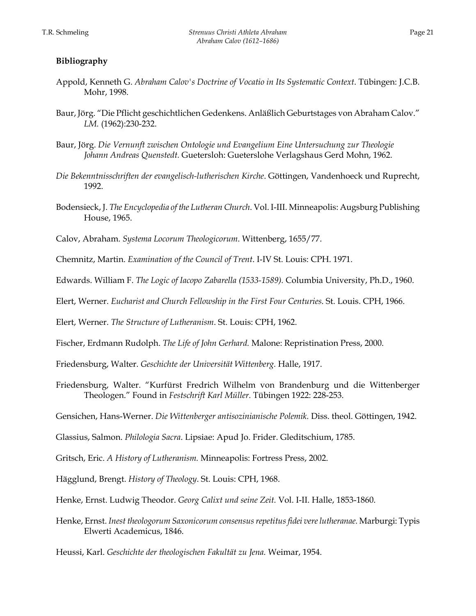# **Bibliography**

- Appold, Kenneth G. *Abraham Calov's Doctrine of Vocatio in Its Systematic Context*. Tübingen: J.C.B. Mohr, 1998.
- Baur, Jörg. "Die Pflicht geschichtlichen Gedenkens. Anläßlich Geburtstages von Abraham Calov." *LM.* (1962):230-232.
- Baur, Jörg. *Die Vernunft zwischen Ontologie und Evangelium Eine Untersuchung zur Theologie Johann Andreas Quenstedt.* Guetersloh: Gueterslohe Verlagshaus Gerd Mohn, 1962.
- *Die Bekenntnisschriften der evangelisch-lutherischen Kirche*. Göttingen, Vandenhoeck und Ruprecht, 1992.
- Bodensieck, J. *The Encyclopedia of the Lutheran Church*. Vol. I-III. Minneapolis: Augsburg Publishing House, 1965.
- Calov, Abraham. *Systema Locorum Theologicorum*. Wittenberg, 1655/77.

Chemnitz, Martin. *Examination of the Council of Trent*. I-IV St. Louis: CPH. 1971.

- Edwards. William F. *The Logic of Iacopo Zabarella (1533-1589).* Columbia University, Ph.D., 1960.
- Elert, Werner. *Eucharist and Church Fellowship in the First Four Centuries*. St. Louis. CPH, 1966.

Elert, Werner. *The Structure of Lutheranism*. St. Louis: CPH, 1962.

- Fischer, Erdmann Rudolph. *The Life of John Gerhard.* Malone: Repristination Press, 2000.
- Friedensburg, Walter. *Geschichte der Universität Wittenberg.* Halle, 1917.
- Friedensburg, Walter. "Kurfürst Fredrich Wilhelm von Brandenburg und die Wittenberger Theologen." Found in *Festschrift Karl Müller.* Tübingen 1922: 228-253.
- Gensichen, Hans-Werner. *Die Wittenberger antisozinianische Polemik.* Diss. theol. Göttingen, 1942.
- Glassius, Salmon. *Philologia Sacra*. Lipsiae: Apud Jo. Frider. Gleditschium, 1785.
- Gritsch, Eric. *A History of Lutheranism.* Minneapolis: Fortress Press, 2002.
- Hägglund, Brengt. *History of Theology*. St. Louis: CPH, 1968.
- Henke, Ernst. Ludwig Theodor. *Georg Calixt und seine Zeit.* Vol. I-II. Halle, 1853-1860.
- Henke, Ernst. *Inest theologorum Saxonicorum consensus repetitus fidei vere lutheranae.* Marburgi: Typis Elwerti Academicus, 1846.

Heussi, Karl. *Geschichte der theologischen Fakultät zu Jena.* Weimar, 1954.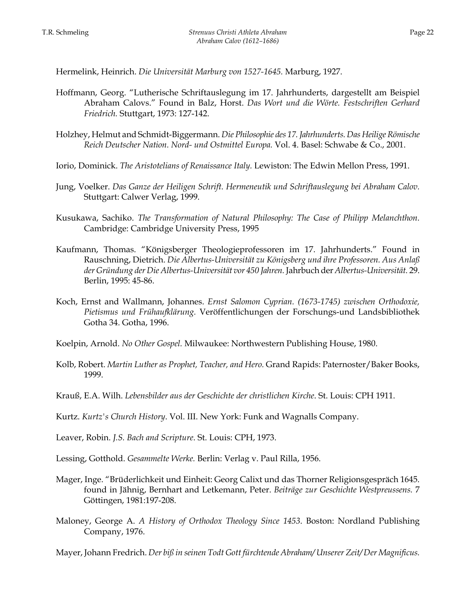Hermelink, Heinrich. *Die Universität Marburg von 1527-1645.* Marburg, 1927.

- Hoffmann, Georg. "Lutherische Schriftauslegung im 17. Jahrhunderts, dargestellt am Beispiel Abraham Calovs." Found in Balz, Horst. *Das Wort und die Wörte. Festschriften Gerhard Friedrich.* Stuttgart, 1973: 127-142.
- Holzhey, Helmut and Schmidt-Biggermann. *Die Philosophie des 17. Jahrhunderts. Das Heilige Römische Reich Deutscher Nation. Nord- und Ostmittel Europa.* Vol. 4. Basel: Schwabe & Co., 2001.
- Iorio, Dominick. *The Aristotelians of Renaissance Italy.* Lewiston: The Edwin Mellon Press, 1991.
- Jung, Voelker. *Das Ganze der Heiligen Schrift. Hermeneutik und Schriftauslegung bei Abraham Calov.*  Stuttgart: Calwer Verlag, 1999.
- Kusukawa, Sachiko. *The Transformation of Natural Philosophy: The Case of Philipp Melanchthon.* Cambridge: Cambridge University Press, 1995
- Kaufmann, Thomas. "Königsberger Theologieprofessoren im 17. Jahrhunderts." Found in Rauschning, Dietrich. *Die Albertus-Universität zu Königsberg und ihre Professoren. Aus Anlaß der Gründung der Die Albertus-Universität vor 450 Jahren.* Jahrbuch der *Albertus-Universität.* 29. Berlin, 1995: 45-86.
- Koch, Ernst and Wallmann, Johannes. *Ernst Salomon Cyprian. (1673-1745) zwischen Orthodoxie, Pietismus und Frühaufklärung.* Veröffentlichungen der Forschungs-und Landsbibliothek Gotha 34. Gotha, 1996.
- Koelpin, Arnold. *No Other Gospel.* Milwaukee: Northwestern Publishing House, 1980.
- Kolb, Robert. *Martin Luther as Prophet, Teacher, and Hero.* Grand Rapids: Paternoster/Baker Books, 1999.
- Krauß, E.A. Wilh. *Lebensbilder aus der Geschichte der christlichen Kirche*. St. Louis: CPH 1911.
- Kurtz. *Kurtz's Church History*. Vol. III. New York: Funk and Wagnalls Company.
- Leaver, Robin. *J.S. Bach and Scripture*. St. Louis: CPH, 1973.
- Lessing, Gotthold. *Gesammelte Werke.* Berlin: Verlag v. Paul Rilla, 1956.
- Mager, Inge. "Brüderlichkeit und Einheit: Georg Calixt und das Thorner Religionsgespräch 1645. found in Jähnig, Bernhart and Letkemann, Peter. *Beiträge zur Geschichte Westpreussens.* 7 Göttingen, 1981:197-208.
- Maloney, George A. *A History of Orthodox Theology Since 1453*. Boston: Nordland Publishing Company, 1976.
- Mayer, Johann Fredrich. *Der biß in seinen Todt Gott fürchtende Abraham/ Unserer Zeit/ Der Magnificus.*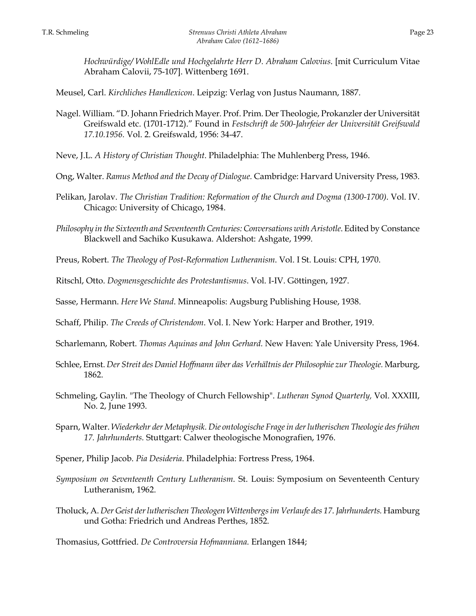Meusel, Carl. *Kirchliches Handlexicon*. Leipzig: Verlag von Justus Naumann, 1887.

- Nagel. William. "D. Johann Friedrich Mayer. Prof. Prim. Der Theologie, Prokanzler der Universität Greifswald etc. (1701-1712)." Found in *Festschrift de 500-Jahrfeier der Universität Greifswald 17.10.1956.* Vol. 2. Greifswald, 1956: 34-47.
- Neve, J.L. *A History of Christian Thought*. Philadelphia: The Muhlenberg Press, 1946.
- Ong, Walter. *Ramus Method and the Decay of Dialogue.* Cambridge: Harvard University Press, 1983.
- Pelikan, Jarolav. *The Christian Tradition: Reformation of the Church and Dogma (1300-1700)*. Vol. IV. Chicago: University of Chicago, 1984.
- *Philosophy in the Sixteenth and Seventeenth Centuries: Conversations with Aristotle*. Edited by Constance Blackwell and Sachiko Kusukawa. Aldershot: Ashgate, 1999.
- Preus, Robert. *The Theology of Post-Reformation Lutheranism*. Vol. I St. Louis: CPH, 1970.
- Ritschl, Otto. *Dogmensgeschichte des Protestantismus*. Vol. I-IV. Göttingen, 1927.

Sasse, Hermann. *Here We Stand*. Minneapolis: Augsburg Publishing House, 1938.

Schaff, Philip. *The Creeds of Christendom*. Vol. I. New York: Harper and Brother, 1919.

- Scharlemann, Robert. *Thomas Aquinas and John Gerhard.* New Haven: Yale University Press, 1964.
- Schlee, Ernst. *Der Streit des Daniel Hoffmann über das Verhältnis der Philosophie zur Theologie.* Marburg, 1862.
- Schmeling, Gaylin. "The Theology of Church Fellowship". *Lutheran Synod Quarterly,* Vol. XXXIII, No. 2, June 1993.
- Sparn, Walter. *Wiederkehr der Metaphysik. Die ontologische Frage in der lutherischen Theologie des frühen 17. Jahrhunderts.* Stuttgart: Calwer theologische Monografien, 1976.
- Spener, Philip Jacob. *Pia Desideria*. Philadelphia: Fortress Press, 1964.
- *Symposium on Seventeenth Century Lutheranism*. St. Louis: Symposium on Seventeenth Century Lutheranism, 1962.
- Tholuck, A. *Der Geist der lutherischen Theologen Wittenbergs im Verlaufe des 17*. *Jahrhunderts.* Hamburg und Gotha: Friedrich und Andreas Perthes, 1852.

Thomasius, Gottfried. *De Controversia Hofmanniana.* Erlangen 1844;